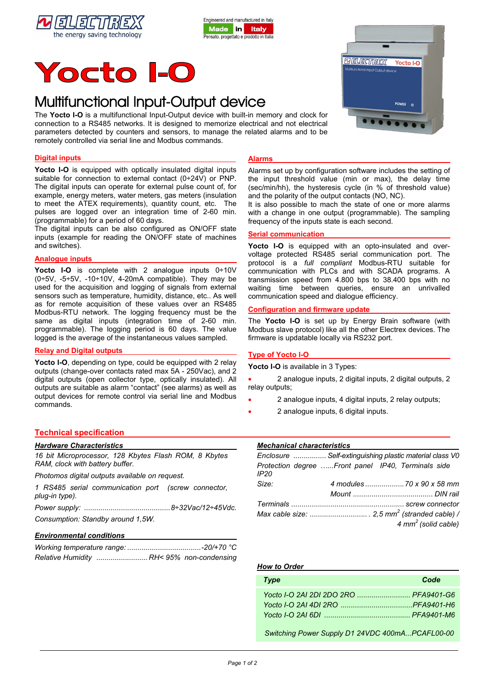





# Multifunctional Input-Output device

The **Yocto I-O** is a multifunctional Input-Output device with built-in memory and clock for connection to a RS485 networks. It is designed to memorize electrical and not electrical parameters detected by counters and sensors, to manage the related alarms and to be remotely controlled via serial line and Modbus commands.

# **Digital inputs**

Yocto I-O is equipped with optically insulated digital inputs suitable for connection to external contact (0÷24V) or PNP. The digital inputs can operate for external pulse count of, for example, energy meters, water meters, gas meters (insulation to meet the ATEX requirements), quantity count, etc. The pulses are logged over an integration time of 2-60 min. (programmable) for a period of 60 days.

The digital inputs can be also configured as ON/OFF state inputs (example for reading the ON/OFF state of machines and switches).

### **Analogue inputs**

**Yocto I-O** is complete with 2 analogue inputs 0÷10V  $(0+5V, -5+5V, -10+10V, 4-20mA$  compatible). They may be used for the acquisition and logging of signals from external sensors such as temperature, humidity, distance, etc.. As well as for remote acquisition of these values over an RS485 Modbus-RTU network. The logging frequency must be the same as digital inputs (integration time of 2-60 min. programmable). The logging period is 60 days. The value logged is the average of the instantaneous values sampled.

#### **Relay and Digital outputs**

**Yocto I-O**, depending on type, could be equipped with 2 relay outputs (change-over contacts rated max 5A - 250Vac), and 2 digital outputs (open collector type, optically insulated). All outputs are suitable as alarm "contact" (see alarms) as well as output devices for remote control via serial line and Modbus commands.

# **Alarms**

Alarms set up by configuration software includes the setting of the input threshold value (min or max), the delay time (sec/min/hh), the hysteresis cycle (in % of threshold value) and the polarity of the output contacts (NO, NC).

It is also possible to mach the state of one or more alarms with a change in one output (programmable). The sampling frequency of the inputs state is each second.

#### **Serial communication**

 communication with PLCs and with SCADA programs. A Yocto I-O is equipped with an opto-insulated and overvoltage protected RS485 serial communication port. The protocol is a *full compliant* Modbus-RTU suitable for transmission speed from 4.800 bps to 38.400 bps with no waiting time between queries, ensure an unrivalled communication speed and dialogue efficiency.

# **Configuration and firmware update**

The **Yocto I-O** is set up by Energy Brain software (with Modbus slave protocol) like all the other Electrex devices. The firmware is updatable locally via RS232 port.

#### **Type of Yocto I-O**

**Yocto I-O** is available in 3 Types:

• 2 analogue inputs, 2 digital inputs, 2 digital outputs, 2 relay outputs;

- 2 analogue inputs, 4 digital inputs, 2 relay outputs;
- 2 analogue inputs, 6 digital inputs.

# **Technical specification**

| <b>Hardware Characteristics</b>                                                          |  |  |  |
|------------------------------------------------------------------------------------------|--|--|--|
| 16 bit Microprocessor, 128 Kbytes Flash ROM, 8 Kbytes<br>RAM, clock with battery buffer. |  |  |  |
| Photomos digital outputs available on request.                                           |  |  |  |
| 1 RS485 serial communication port (screw connector,                                      |  |  |  |

| plug-in type). |  |  |
|----------------|--|--|
|                |  |  |

*Power supply: ..........................................8÷32Vac/12÷45Vdc.* 

*Consumption: Standby around 1,5W.* 

# *Environmental conditions*

| Relative Humidity  RH< 95% non-condensing |  |
|-------------------------------------------|--|

|  | <i><b>Mechanical characteristics</b></i> |  |  |
|--|------------------------------------------|--|--|
|  |                                          |  |  |

|       | Enclosure  Self-extinguishing plastic material class V0 |                                                    |  |                                  |  |
|-------|---------------------------------------------------------|----------------------------------------------------|--|----------------------------------|--|
| IP20  |                                                         | Protection degree Front panel IP40, Terminals side |  |                                  |  |
| Size: |                                                         |                                                    |  |                                  |  |
|       |                                                         |                                                    |  |                                  |  |
|       |                                                         |                                                    |  |                                  |  |
|       |                                                         |                                                    |  |                                  |  |
|       |                                                         |                                                    |  | $4 \, \text{mm}^2$ (solid cable) |  |

### *How to Order*

| <b>Type</b> | Code |
|-------------|------|
|             |      |
|             |      |
|             |      |
|             |      |

 *Switching Power Supply D1 24VDC 400mA...PCAFL00-00*